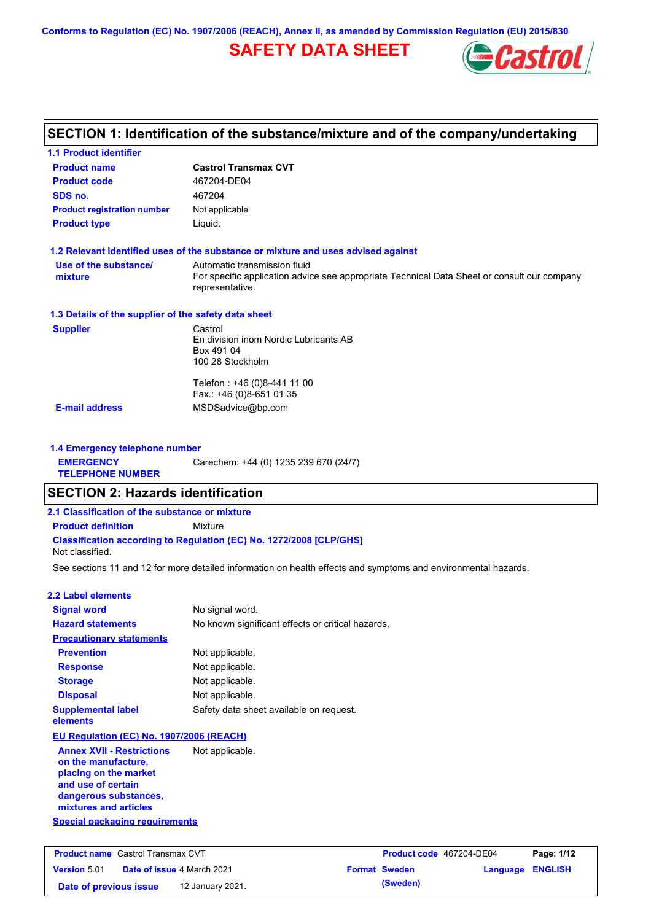# **SAFETY DATA SHEET**



# **SECTION 1: Identification of the substance/mixture and of the company/undertaking**

| <b>1.1 Product identifier</b>                        |                                                                                                                |                          |          |                |
|------------------------------------------------------|----------------------------------------------------------------------------------------------------------------|--------------------------|----------|----------------|
| <b>Product name</b>                                  | <b>Castrol Transmax CVT</b>                                                                                    |                          |          |                |
| <b>Product code</b>                                  | 467204-DE04                                                                                                    |                          |          |                |
| SDS no.                                              | 467204                                                                                                         |                          |          |                |
| <b>Product registration number</b>                   | Not applicable                                                                                                 |                          |          |                |
| <b>Product type</b>                                  | Liquid.                                                                                                        |                          |          |                |
|                                                      | 1.2 Relevant identified uses of the substance or mixture and uses advised against                              |                          |          |                |
| Use of the substance/                                | Automatic transmission fluid                                                                                   |                          |          |                |
| mixture                                              | For specific application advice see appropriate Technical Data Sheet or consult our company<br>representative. |                          |          |                |
| 1.3 Details of the supplier of the safety data sheet |                                                                                                                |                          |          |                |
| <b>Supplier</b>                                      | Castrol                                                                                                        |                          |          |                |
|                                                      | En division inom Nordic Lubricants AB<br>Box 491 04                                                            |                          |          |                |
|                                                      | 100 28 Stockholm                                                                                               |                          |          |                |
|                                                      |                                                                                                                |                          |          |                |
|                                                      | Telefon: +46 (0)8-441 11 00<br>Fax.: +46 (0)8-651 01 35                                                        |                          |          |                |
| <b>E-mail address</b>                                | MSDSadvice@bp.com                                                                                              |                          |          |                |
|                                                      |                                                                                                                |                          |          |                |
| 1.4 Emergency telephone number                       |                                                                                                                |                          |          |                |
| <b>EMERGENCY</b>                                     | Carechem: +44 (0) 1235 239 670 (24/7)                                                                          |                          |          |                |
| <b>TELEPHONE NUMBER</b>                              |                                                                                                                |                          |          |                |
| <b>SECTION 2: Hazards identification</b>             |                                                                                                                |                          |          |                |
| 2.1 Classification of the substance or mixture       |                                                                                                                |                          |          |                |
| <b>Product definition</b>                            | Mixture                                                                                                        |                          |          |                |
| Not classified.                                      | <b>Classification according to Regulation (EC) No. 1272/2008 [CLP/GHS]</b>                                     |                          |          |                |
|                                                      | See sections 11 and 12 for more detailed information on health effects and symptoms and environmental hazards. |                          |          |                |
| <b>2.2 Label elements</b>                            |                                                                                                                |                          |          |                |
| <b>Signal word</b>                                   | No signal word.                                                                                                |                          |          |                |
| <b>Hazard statements</b>                             | No known significant effects or critical hazards.                                                              |                          |          |                |
| <b>Precautionary statements</b>                      |                                                                                                                |                          |          |                |
| <b>Prevention</b>                                    | Not applicable.                                                                                                |                          |          |                |
| <b>Response</b>                                      | Not applicable.                                                                                                |                          |          |                |
| <b>Storage</b>                                       | Not applicable.                                                                                                |                          |          |                |
| <b>Disposal</b>                                      | Not applicable.                                                                                                |                          |          |                |
| <b>Supplemental label</b><br>elements                | Safety data sheet available on request.                                                                        |                          |          |                |
| EU Regulation (EC) No. 1907/2006 (REACH)             |                                                                                                                |                          |          |                |
| <b>Annex XVII - Restrictions</b>                     | Not applicable.                                                                                                |                          |          |                |
| on the manufacture,                                  |                                                                                                                |                          |          |                |
| placing on the market                                |                                                                                                                |                          |          |                |
| and use of certain<br>dangerous substances,          |                                                                                                                |                          |          |                |
| mixtures and articles                                |                                                                                                                |                          |          |                |
| <b>Special packaging requirements</b>                |                                                                                                                |                          |          |                |
|                                                      |                                                                                                                |                          |          |                |
| <b>Product name</b> Castrol Transmax CVT             |                                                                                                                | Product code 467204-DE04 |          | Page: 1/12     |
| Version 5.01<br>Date of issue 4 March 2021           |                                                                                                                | <b>Format Sweden</b>     | Language | <b>ENGLISH</b> |
| Date of previous issue                               | 12 January 2021.                                                                                               | (Sweden)                 |          |                |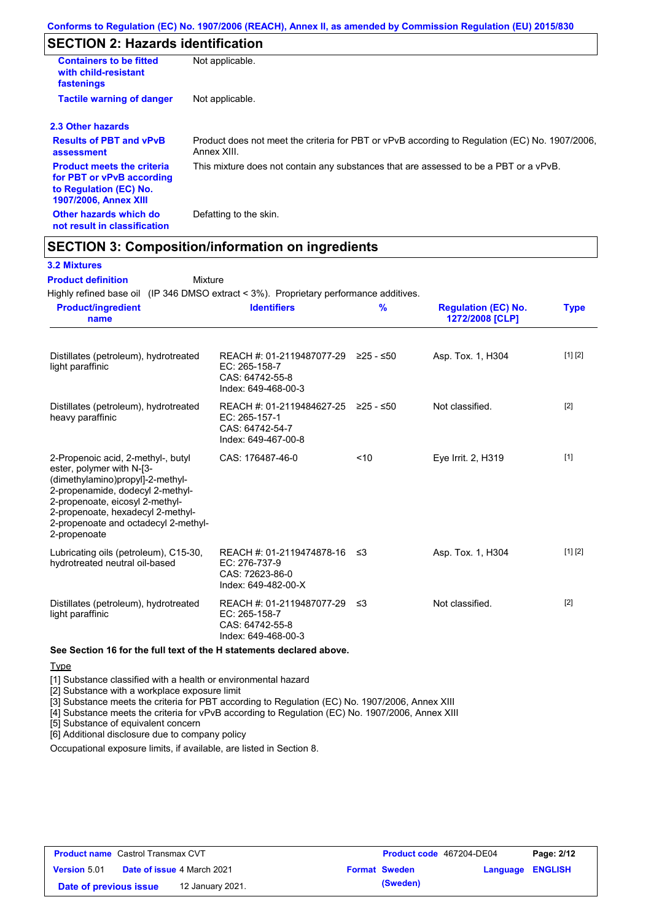# **SECTION 2: Hazards identification**

| <b>Containers to be fitted</b><br>with child-resistant<br>fastenings                                                     | Not applicable.                                                                                               |
|--------------------------------------------------------------------------------------------------------------------------|---------------------------------------------------------------------------------------------------------------|
| <b>Tactile warning of danger</b>                                                                                         | Not applicable.                                                                                               |
| 2.3 Other hazards                                                                                                        |                                                                                                               |
| <b>Results of PBT and vPvB</b><br>assessment                                                                             | Product does not meet the criteria for PBT or vPvB according to Regulation (EC) No. 1907/2006,<br>Annex XIII. |
| <b>Product meets the criteria</b><br>for PBT or vPvB according<br>to Regulation (EC) No.<br><b>1907/2006, Annex XIII</b> | This mixture does not contain any substances that are assessed to be a PBT or a vPvB.                         |
| Other hazards which do<br>not result in classification                                                                   | Defatting to the skin.                                                                                        |

## **SECTION 3: Composition/information on ingredients**

Mixture

### **3.2 Mixtures**

**Product definition**

Highly refined base oil (IP 346 DMSO extract < 3%). Proprietary performance additives.

| <b>Product/ingredient</b><br><b>Identifiers</b><br>name                                                                                                                                                                                                                                     |                                     | $\frac{9}{6}$<br><b>Regulation (EC) No.</b><br>1272/2008 [CLP] | <b>Type</b> |
|---------------------------------------------------------------------------------------------------------------------------------------------------------------------------------------------------------------------------------------------------------------------------------------------|-------------------------------------|----------------------------------------------------------------|-------------|
| Distillates (petroleum), hydrotreated<br>light paraffinic<br>EC: 265-158-7<br>CAS: 64742-55-8<br>Index: 649-468-00-3                                                                                                                                                                        | REACH #: 01-2119487077-29 ≥25 - ≤50 | Asp. Tox. 1, H304                                              | [1] [2]     |
| Distillates (petroleum), hydrotreated<br>heavy paraffinic<br>EC: 265-157-1<br>CAS: 64742-54-7<br>Index: 649-467-00-8                                                                                                                                                                        | REACH #: 01-2119484627-25 ≥25 - ≤50 | Not classified.                                                | $[2]$       |
| 2-Propenoic acid, 2-methyl-, butyl<br>CAS: 176487-46-0<br>ester, polymer with N-[3-<br>(dimethylamino)propyl]-2-methyl-<br>2-propenamide, dodecyl 2-methyl-<br>2-propenoate, eicosyl 2-methyl-<br>2-propenoate, hexadecyl 2-methyl-<br>2-propenoate and octadecyl 2-methyl-<br>2-propenoate | < 10                                | Eve Irrit. 2, H319                                             | $[1]$       |
| Lubricating oils (petroleum), C15-30,<br>hydrotreated neutral oil-based<br>EC: 276-737-9<br>CAS: 72623-86-0<br>Index: 649-482-00-X                                                                                                                                                          | REACH #: 01-2119474878-16 ≤3        | Asp. Tox. 1, H304                                              | [1] [2]     |
| Distillates (petroleum), hydrotreated<br>EC: 265-158-7<br>light paraffinic<br>CAS: 64742-55-8<br>Index: 649-468-00-3                                                                                                                                                                        | REACH #: 01-2119487077-29 ≤3        | Not classified.                                                | $[2]$       |
| See Section 16 for the full text of the H statements declared above.                                                                                                                                                                                                                        |                                     |                                                                |             |

**Type** 

[1] Substance classified with a health or environmental hazard

[2] Substance with a workplace exposure limit

[3] Substance meets the criteria for PBT according to Regulation (EC) No. 1907/2006, Annex XIII

[4] Substance meets the criteria for vPvB according to Regulation (EC) No. 1907/2006, Annex XIII

[5] Substance of equivalent concern

[6] Additional disclosure due to company policy

Occupational exposure limits, if available, are listed in Section 8.

| <b>Product name</b> Castrol Transmax CVT |  | <b>Product code</b> 467204-DE04   |  | Page: 2/12           |                         |  |
|------------------------------------------|--|-----------------------------------|--|----------------------|-------------------------|--|
| Version 5.01                             |  | <b>Date of issue 4 March 2021</b> |  | <b>Format Sweden</b> | <b>Language ENGLISH</b> |  |
| Date of previous issue                   |  | 12 January 2021.                  |  | (Sweden)             |                         |  |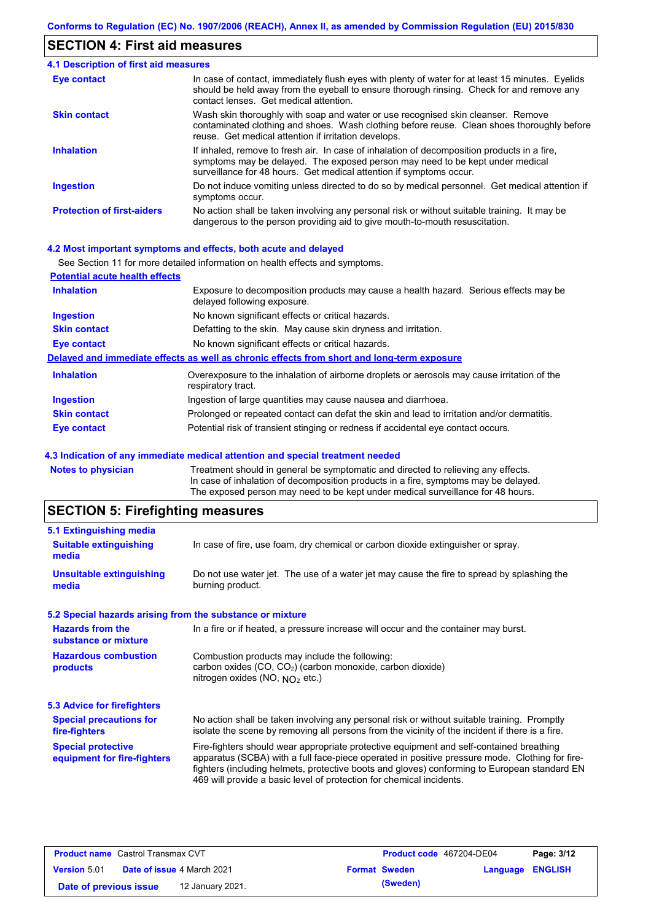### **SECTION 4: First aid measures**

#### Do not induce vomiting unless directed to do so by medical personnel. Get medical attention if symptoms occur. In case of contact, immediately flush eyes with plenty of water for at least 15 minutes. Eyelids should be held away from the eyeball to ensure thorough rinsing. Check for and remove any contact lenses. Get medical attention. **4.1 Description of first aid measures** If inhaled, remove to fresh air. In case of inhalation of decomposition products in a fire, symptoms may be delayed. The exposed person may need to be kept under medical surveillance for 48 hours. Get medical attention if symptoms occur. **Ingestion Inhalation Eye contact Protection of first-aiders** No action shall be taken involving any personal risk or without suitable training. It may be dangerous to the person providing aid to give mouth-to-mouth resuscitation. **Skin contact** Wash skin thoroughly with soap and water or use recognised skin cleanser. Remove contaminated clothing and shoes. Wash clothing before reuse. Clean shoes thoroughly before reuse. Get medical attention if irritation develops.

#### **4.2 Most important symptoms and effects, both acute and delayed**

|                                       | See Section 11 for more detailed information on health effects and symptoms.                                        |
|---------------------------------------|---------------------------------------------------------------------------------------------------------------------|
| <b>Potential acute health effects</b> |                                                                                                                     |
| <b>Inhalation</b>                     | Exposure to decomposition products may cause a health hazard. Serious effects may be<br>delayed following exposure. |
| <b>Ingestion</b>                      | No known significant effects or critical hazards.                                                                   |
| <b>Skin contact</b>                   | Defatting to the skin. May cause skin dryness and irritation.                                                       |
| Eye contact                           | No known significant effects or critical hazards.                                                                   |
|                                       | Delayed and immediate effects as well as chronic effects from short and long-term exposure                          |
| <b>Inhalation</b>                     | Overexposure to the inhalation of airborne droplets or aerosols may cause irritation of the<br>respiratory tract.   |
| <b>Ingestion</b>                      | Ingestion of large quantities may cause nausea and diarrhoea.                                                       |
| <b>Skin contact</b>                   | Prolonged or repeated contact can defat the skin and lead to irritation and/or dermatitis.                          |
| <b>Eye contact</b>                    | Potential risk of transient stinging or redness if accidental eye contact occurs.                                   |

#### **4.3 Indication of any immediate medical attention and special treatment needed**

| <b>Notes to physician</b> | Treatment should in general be symptomatic and directed to relieving any effects.   |
|---------------------------|-------------------------------------------------------------------------------------|
|                           | In case of inhalation of decomposition products in a fire, symptoms may be delayed. |
|                           | The exposed person may need to be kept under medical surveillance for 48 hours.     |
|                           |                                                                                     |

## **SECTION 5: Firefighting measures**

| 5.1 Extinguishing media                                   |                                                                                                                                                                                                                                                                                                                                                                   |  |
|-----------------------------------------------------------|-------------------------------------------------------------------------------------------------------------------------------------------------------------------------------------------------------------------------------------------------------------------------------------------------------------------------------------------------------------------|--|
| <b>Suitable extinguishing</b><br>media                    | In case of fire, use foam, dry chemical or carbon dioxide extinguisher or spray.                                                                                                                                                                                                                                                                                  |  |
| <b>Unsuitable extinguishing</b><br>media                  | Do not use water jet. The use of a water jet may cause the fire to spread by splashing the<br>burning product.                                                                                                                                                                                                                                                    |  |
| 5.2 Special hazards arising from the substance or mixture |                                                                                                                                                                                                                                                                                                                                                                   |  |
| <b>Hazards from the</b><br>substance or mixture           | In a fire or if heated, a pressure increase will occur and the container may burst.                                                                                                                                                                                                                                                                               |  |
| <b>Hazardous combustion</b><br>products                   | Combustion products may include the following:<br>carbon oxides (CO, CO2) (carbon monoxide, carbon dioxide)<br>nitrogen oxides (NO, $NQ_2$ etc.)                                                                                                                                                                                                                  |  |
| 5.3 Advice for firefighters                               |                                                                                                                                                                                                                                                                                                                                                                   |  |
| <b>Special precautions for</b><br>fire-fighters           | No action shall be taken involving any personal risk or without suitable training. Promptly<br>isolate the scene by removing all persons from the vicinity of the incident if there is a fire.                                                                                                                                                                    |  |
| <b>Special protective</b><br>equipment for fire-fighters  | Fire-fighters should wear appropriate protective equipment and self-contained breathing<br>apparatus (SCBA) with a full face-piece operated in positive pressure mode. Clothing for fire-<br>fighters (including helmets, protective boots and gloves) conforming to European standard EN<br>469 will provide a basic level of protection for chemical incidents. |  |
|                                                           |                                                                                                                                                                                                                                                                                                                                                                   |  |

| <b>Product name</b> Castrol Transmax CVT |  | <b>Product code</b> 467204-DE04   |  | Page: 3/12           |                  |  |
|------------------------------------------|--|-----------------------------------|--|----------------------|------------------|--|
| <b>Version 5.01</b>                      |  | <b>Date of issue 4 March 2021</b> |  | <b>Format Sweden</b> | Language ENGLISH |  |
| Date of previous issue                   |  | 12 January 2021.                  |  | (Sweden)             |                  |  |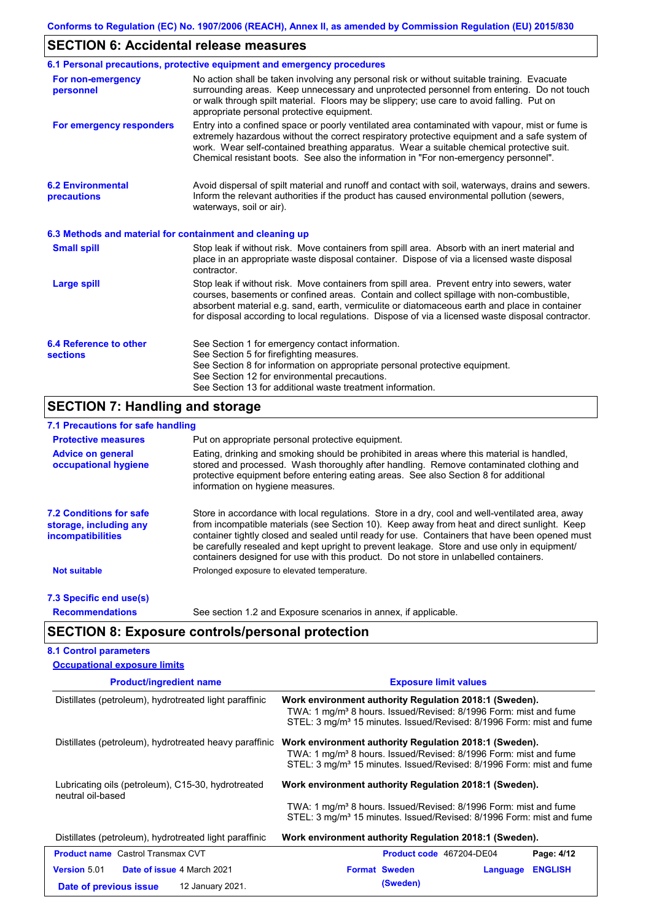# **SECTION 6: Accidental release measures**

|                                                          | 6.1 Personal precautions, protective equipment and emergency procedures                                                                                                                                                                                                                                                                                                                        |
|----------------------------------------------------------|------------------------------------------------------------------------------------------------------------------------------------------------------------------------------------------------------------------------------------------------------------------------------------------------------------------------------------------------------------------------------------------------|
| For non-emergency<br>personnel                           | No action shall be taken involving any personal risk or without suitable training. Evacuate<br>surrounding areas. Keep unnecessary and unprotected personnel from entering. Do not touch<br>or walk through spilt material. Floors may be slippery; use care to avoid falling. Put on<br>appropriate personal protective equipment.                                                            |
| For emergency responders                                 | Entry into a confined space or poorly ventilated area contaminated with vapour, mist or fume is<br>extremely hazardous without the correct respiratory protective equipment and a safe system of<br>work. Wear self-contained breathing apparatus. Wear a suitable chemical protective suit.<br>Chemical resistant boots. See also the information in "For non-emergency personnel".           |
| <b>6.2 Environmental</b><br>precautions                  | Avoid dispersal of spilt material and runoff and contact with soil, waterways, drains and sewers.<br>Inform the relevant authorities if the product has caused environmental pollution (sewers,<br>waterways, soil or air).                                                                                                                                                                    |
| 6.3 Methods and material for containment and cleaning up |                                                                                                                                                                                                                                                                                                                                                                                                |
| <b>Small spill</b>                                       | Stop leak if without risk. Move containers from spill area. Absorb with an inert material and<br>place in an appropriate waste disposal container. Dispose of via a licensed waste disposal<br>contractor.                                                                                                                                                                                     |
| <b>Large spill</b>                                       | Stop leak if without risk. Move containers from spill area. Prevent entry into sewers, water<br>courses, basements or confined areas. Contain and collect spillage with non-combustible,<br>absorbent material e.g. sand, earth, vermiculite or diatomaceous earth and place in container<br>for disposal according to local regulations. Dispose of via a licensed waste disposal contractor. |
| 6.4 Reference to other<br><b>sections</b>                | See Section 1 for emergency contact information.<br>See Section 5 for firefighting measures.<br>See Section 8 for information on appropriate personal protective equipment.<br>See Section 12 for environmental precautions.<br>See Section 13 for additional waste treatment information.                                                                                                     |

# **SECTION 7: Handling and storage**

## **7.1 Precautions for safe handling**

| <b>Protective measures</b>                                                           | Put on appropriate personal protective equipment.                                                                                                                                                                                                                                                                                                                                                                                                                                        |
|--------------------------------------------------------------------------------------|------------------------------------------------------------------------------------------------------------------------------------------------------------------------------------------------------------------------------------------------------------------------------------------------------------------------------------------------------------------------------------------------------------------------------------------------------------------------------------------|
| <b>Advice on general</b><br>occupational hygiene                                     | Eating, drinking and smoking should be prohibited in areas where this material is handled.<br>stored and processed. Wash thoroughly after handling. Remove contaminated clothing and<br>protective equipment before entering eating areas. See also Section 8 for additional<br>information on hygiene measures.                                                                                                                                                                         |
| <b>7.2 Conditions for safe</b><br>storage, including any<br><i>incompatibilities</i> | Store in accordance with local requiations. Store in a dry, cool and well-ventilated area, away<br>from incompatible materials (see Section 10). Keep away from heat and direct sunlight. Keep<br>container tightly closed and sealed until ready for use. Containers that have been opened must<br>be carefully resealed and kept upright to prevent leakage. Store and use only in equipment/<br>containers designed for use with this product. Do not store in unlabelled containers. |
| <b>Not suitable</b>                                                                  | Prolonged exposure to elevated temperature.                                                                                                                                                                                                                                                                                                                                                                                                                                              |
| 7.3 Specific end use(s)                                                              |                                                                                                                                                                                                                                                                                                                                                                                                                                                                                          |
| <b>Recommendations</b>                                                               | See section 1.2 and Exposure scenarios in annex, if applicable.                                                                                                                                                                                                                                                                                                                                                                                                                          |

# **SECTION 8: Exposure controls/personal protection**

## **8.1 Control parameters**

| <b>Occupational exposure limits</b>                                                      |                                                                                                                                                                                                                            |  |  |  |
|------------------------------------------------------------------------------------------|----------------------------------------------------------------------------------------------------------------------------------------------------------------------------------------------------------------------------|--|--|--|
| <b>Product/ingredient name</b>                                                           | <b>Exposure limit values</b>                                                                                                                                                                                               |  |  |  |
| Distillates (petroleum), hydrotreated light paraffinic                                   | Work environment authority Regulation 2018:1 (Sweden).<br>TWA: 1 mg/m <sup>3</sup> 8 hours. Issued/Revised: 8/1996 Form: mist and fume<br>STEL: 3 mg/m <sup>3</sup> 15 minutes. Issued/Revised: 8/1996 Form: mist and fume |  |  |  |
| Distillates (petroleum), hydrotreated heavy paraffinic                                   | Work environment authority Regulation 2018:1 (Sweden).<br>TWA: 1 mg/m <sup>3</sup> 8 hours. Issued/Revised: 8/1996 Form: mist and fume<br>STEL: 3 mg/m <sup>3</sup> 15 minutes. Issued/Revised: 8/1996 Form: mist and fume |  |  |  |
| Lubricating oils (petroleum), C15-30, hydrotreated<br>neutral oil-based                  | Work environment authority Regulation 2018:1 (Sweden).<br>TWA: 1 mg/m <sup>3</sup> 8 hours. Issued/Revised: 8/1996 Form: mist and fume<br>STEL: 3 mg/m <sup>3</sup> 15 minutes. Issued/Revised: 8/1996 Form: mist and fume |  |  |  |
| Distillates (petroleum), hydrotreated light paraffinic                                   | Work environment authority Regulation 2018:1 (Sweden).                                                                                                                                                                     |  |  |  |
| <b>Product name</b> Castrol Transmax CVT                                                 | Page: 4/12<br><b>Product code</b> 467204-DE04                                                                                                                                                                              |  |  |  |
| Version 5.01<br>Date of issue 4 March 2021<br>12 January 2021.<br>Date of previous issue | <b>Format Sweden</b><br><b>ENGLISH</b><br>Language<br>(Sweden)                                                                                                                                                             |  |  |  |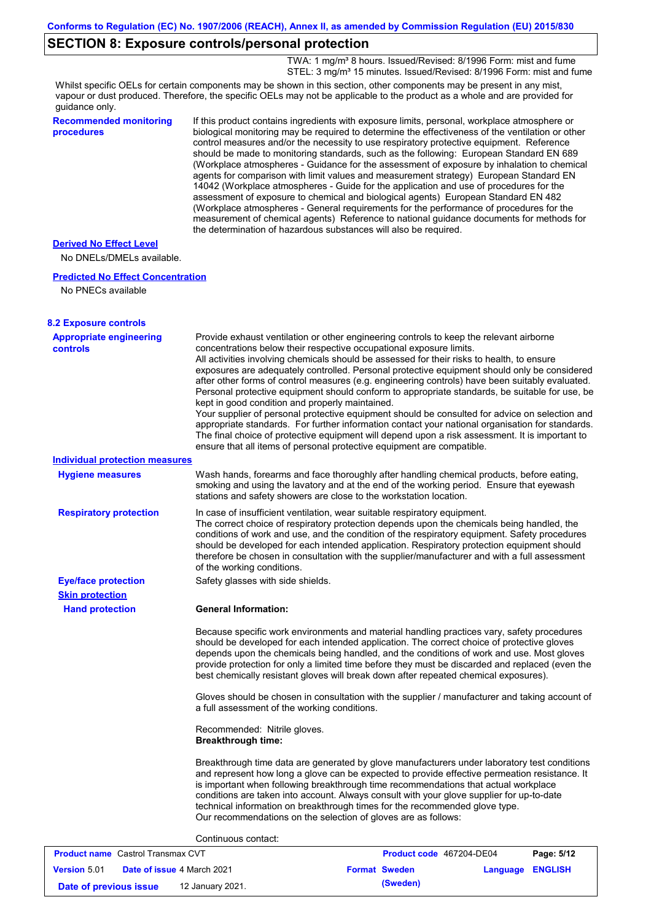## **SECTION 8: Exposure controls/personal protection**

TWA: 1 mg/m<sup>3</sup> 8 hours. Issued/Revised: 8/1996 Form: mist and fume STEL: 3 mg/m<sup>3</sup> 15 minutes. Issued/Revised: 8/1996 Form: mist and fume

Whilst specific OELs for certain components may be shown in this section, other components may be present in any mist, vapour or dust produced. Therefore, the specific OELs may not be applicable to the product as a whole and are provided for guidance only.

| quidance only.                              |                                                                                                                                                                                                                                                                                                                                                                                                                                                                                                                                                                                                                                                                                                                                                                                                                                                                                                                                                                                                                            |
|---------------------------------------------|----------------------------------------------------------------------------------------------------------------------------------------------------------------------------------------------------------------------------------------------------------------------------------------------------------------------------------------------------------------------------------------------------------------------------------------------------------------------------------------------------------------------------------------------------------------------------------------------------------------------------------------------------------------------------------------------------------------------------------------------------------------------------------------------------------------------------------------------------------------------------------------------------------------------------------------------------------------------------------------------------------------------------|
| <b>Recommended monitoring</b><br>procedures | If this product contains ingredients with exposure limits, personal, workplace atmosphere or<br>biological monitoring may be required to determine the effectiveness of the ventilation or other<br>control measures and/or the necessity to use respiratory protective equipment. Reference<br>should be made to monitoring standards, such as the following: European Standard EN 689<br>(Workplace atmospheres - Guidance for the assessment of exposure by inhalation to chemical<br>agents for comparison with limit values and measurement strategy) European Standard EN<br>14042 (Workplace atmospheres - Guide for the application and use of procedures for the<br>assessment of exposure to chemical and biological agents) European Standard EN 482<br>(Workplace atmospheres - General requirements for the performance of procedures for the<br>measurement of chemical agents) Reference to national guidance documents for methods for<br>the determination of hazardous substances will also be required. |
| <b>Derived No Effect Level</b>              |                                                                                                                                                                                                                                                                                                                                                                                                                                                                                                                                                                                                                                                                                                                                                                                                                                                                                                                                                                                                                            |
| No DNELs/DMELs available.                   |                                                                                                                                                                                                                                                                                                                                                                                                                                                                                                                                                                                                                                                                                                                                                                                                                                                                                                                                                                                                                            |
| <b>Predicted No Effect Concentration</b>    |                                                                                                                                                                                                                                                                                                                                                                                                                                                                                                                                                                                                                                                                                                                                                                                                                                                                                                                                                                                                                            |
| No PNECs available                          |                                                                                                                                                                                                                                                                                                                                                                                                                                                                                                                                                                                                                                                                                                                                                                                                                                                                                                                                                                                                                            |
| <b>8.2 Exposure controls</b>                |                                                                                                                                                                                                                                                                                                                                                                                                                                                                                                                                                                                                                                                                                                                                                                                                                                                                                                                                                                                                                            |
| <b>Appropriate engineering</b><br>controls  | Provide exhaust ventilation or other engineering controls to keep the relevant airborne<br>concentrations below their respective occupational exposure limits.<br>All activities involving chemicals should be assessed for their risks to health, to ensure<br>exposures are adequately controlled. Personal protective equipment should only be considered<br>after other forms of control measures (e.g. engineering controls) have been suitably evaluated.<br>Personal protective equipment should conform to appropriate standards, be suitable for use, be<br>kept in good condition and properly maintained.<br>Your supplier of personal protective equipment should be consulted for advice on selection and<br>appropriate standards. For further information contact your national organisation for standards.<br>The final choice of protective equipment will depend upon a risk assessment. It is important to<br>ensure that all items of personal protective equipment are compatible.                    |
| <b>Individual protection measures</b>       |                                                                                                                                                                                                                                                                                                                                                                                                                                                                                                                                                                                                                                                                                                                                                                                                                                                                                                                                                                                                                            |
| <b>Hygiene measures</b>                     | Wash hands, forearms and face thoroughly after handling chemical products, before eating,<br>smoking and using the lavatory and at the end of the working period. Ensure that eyewash<br>stations and safety showers are close to the workstation location.                                                                                                                                                                                                                                                                                                                                                                                                                                                                                                                                                                                                                                                                                                                                                                |
| <b>Respiratory protection</b>               | In case of insufficient ventilation, wear suitable respiratory equipment.<br>The correct choice of respiratory protection depends upon the chemicals being handled, the<br>conditions of work and use, and the condition of the respiratory equipment. Safety procedures<br>should be developed for each intended application. Respiratory protection equipment should<br>therefore be chosen in consultation with the supplier/manufacturer and with a full assessment<br>of the working conditions.                                                                                                                                                                                                                                                                                                                                                                                                                                                                                                                      |
| <b>Eye/face protection</b>                  | Safety glasses with side shields.                                                                                                                                                                                                                                                                                                                                                                                                                                                                                                                                                                                                                                                                                                                                                                                                                                                                                                                                                                                          |
| <b>Skin protection</b>                      |                                                                                                                                                                                                                                                                                                                                                                                                                                                                                                                                                                                                                                                                                                                                                                                                                                                                                                                                                                                                                            |
| <b>Hand protection</b>                      | <b>General Information:</b>                                                                                                                                                                                                                                                                                                                                                                                                                                                                                                                                                                                                                                                                                                                                                                                                                                                                                                                                                                                                |
|                                             | Because specific work environments and material handling practices vary, safety procedures<br>chaude he developed for cook intended conisotion. The correct choice of protective player                                                                                                                                                                                                                                                                                                                                                                                                                                                                                                                                                                                                                                                                                                                                                                                                                                    |

should be developed for each intended application. The correct choice of protective gloves depends upon the chemicals being handled, and the conditions of work and use. Most gloves provide protection for only a limited time before they must be discarded and replaced (even the best chemically resistant gloves will break down after repeated chemical exposures).

Gloves should be chosen in consultation with the supplier / manufacturer and taking account of a full assessment of the working conditions.

Recommended: Nitrile gloves. **Breakthrough time:**

Breakthrough time data are generated by glove manufacturers under laboratory test conditions and represent how long a glove can be expected to provide effective permeation resistance. It is important when following breakthrough time recommendations that actual workplace conditions are taken into account. Always consult with your glove supplier for up-to-date technical information on breakthrough times for the recommended glove type. Our recommendations on the selection of gloves are as follows:

#### Continuous contact:

| <b>Product name</b> Castrol Transmax CVT |                                   | <b>Product code</b> 467204-DE04 |                  | Page: 5/12 |
|------------------------------------------|-----------------------------------|---------------------------------|------------------|------------|
| <b>Version 5.01</b>                      | <b>Date of issue 4 March 2021</b> | <b>Format Sweden</b>            | Language ENGLISH |            |
| Date of previous issue                   | 12 January 2021.                  | (Sweden)                        |                  |            |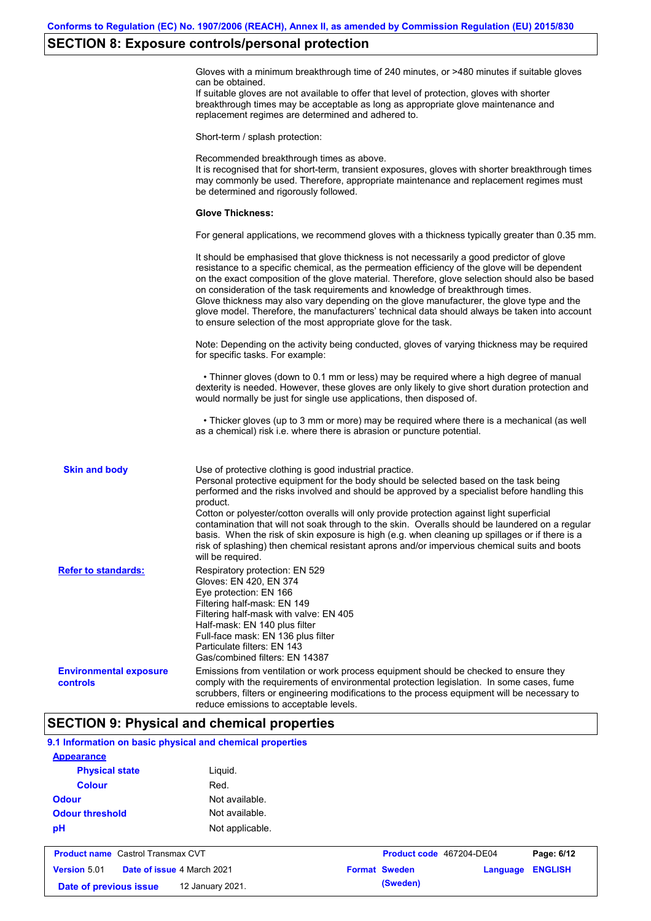## **SECTION 8: Exposure controls/personal protection**

Gloves with a minimum breakthrough time of 240 minutes, or >480 minutes if suitable gloves can be obtained.

If suitable gloves are not available to offer that level of protection, gloves with shorter breakthrough times may be acceptable as long as appropriate glove maintenance and replacement regimes are determined and adhered to.

Short-term / splash protection:

Recommended breakthrough times as above. It is recognised that for short-term, transient exposures, gloves with shorter breakthrough times may commonly be used. Therefore, appropriate maintenance and replacement regimes must be determined and rigorously followed. **Glove Thickness:** For general applications, we recommend gloves with a thickness typically greater than 0.35 mm. It should be emphasised that glove thickness is not necessarily a good predictor of glove resistance to a specific chemical, as the permeation efficiency of the glove will be dependent on the exact composition of the glove material. Therefore, glove selection should also be based on consideration of the task requirements and knowledge of breakthrough times. Glove thickness may also vary depending on the glove manufacturer, the glove type and the glove model. Therefore, the manufacturers' technical data should always be taken into account to ensure selection of the most appropriate glove for the task. Note: Depending on the activity being conducted, gloves of varying thickness may be required for specific tasks. For example: • Thinner gloves (down to 0.1 mm or less) may be required where a high degree of manual dexterity is needed. However, these gloves are only likely to give short duration protection and would normally be just for single use applications, then disposed of. • Thicker gloves (up to 3 mm or more) may be required where there is a mechanical (as well as a chemical) risk i.e. where there is abrasion or puncture potential. Use of protective clothing is good industrial practice. Personal protective equipment for the body should be selected based on the task being performed and the risks involved and should be approved by a specialist before handling this product. Cotton or polyester/cotton overalls will only provide protection against light superficial contamination that will not soak through to the skin. Overalls should be laundered on a regular basis. When the risk of skin exposure is high (e.g. when cleaning up spillages or if there is a risk of splashing) then chemical resistant aprons and/or impervious chemical suits and boots will be required. **Environmental exposure controls** Emissions from ventilation or work process equipment should be checked to ensure they comply with the requirements of environmental protection legislation. In some cases, fume scrubbers, filters or engineering modifications to the process equipment will be necessary to reduce emissions to acceptable levels. **Skin and body Refer to standards:** Respiratory protection: EN 529 Gloves: EN 420, EN 374 Eye protection: EN 166 Filtering half-mask: EN 149 Filtering half-mask with valve: EN 405 Half-mask: EN 140 plus filter Full-face mask: EN 136 plus filter Particulate filters: EN 143 Gas/combined filters: EN 14387

## **SECTION 9: Physical and chemical properties**

**Date of previous issue (Sweden)** 12 January 2021.

| 9.1 Information on basic physical and chemical properties |                                          |                                  |  |                      |                          |                |
|-----------------------------------------------------------|------------------------------------------|----------------------------------|--|----------------------|--------------------------|----------------|
| <b>Appearance</b>                                         |                                          |                                  |  |                      |                          |                |
| <b>Physical state</b><br><b>Colour</b>                    |                                          | Liguid.                          |  |                      |                          |                |
|                                                           |                                          | Red.                             |  |                      |                          |                |
| <b>Odour</b>                                              |                                          | Not available.<br>Not available. |  |                      |                          |                |
| <b>Odour threshold</b>                                    |                                          |                                  |  |                      |                          |                |
| pH                                                        |                                          | Not applicable.                  |  |                      |                          |                |
|                                                           | <b>Product name</b> Castrol Transmax CVT |                                  |  |                      | Product code 467204-DE04 | Page: 6/12     |
| Date of issue 4 March 2021<br>Version 5.01                |                                          |                                  |  | <b>Format Sweden</b> | Language                 | <b>ENGLISH</b> |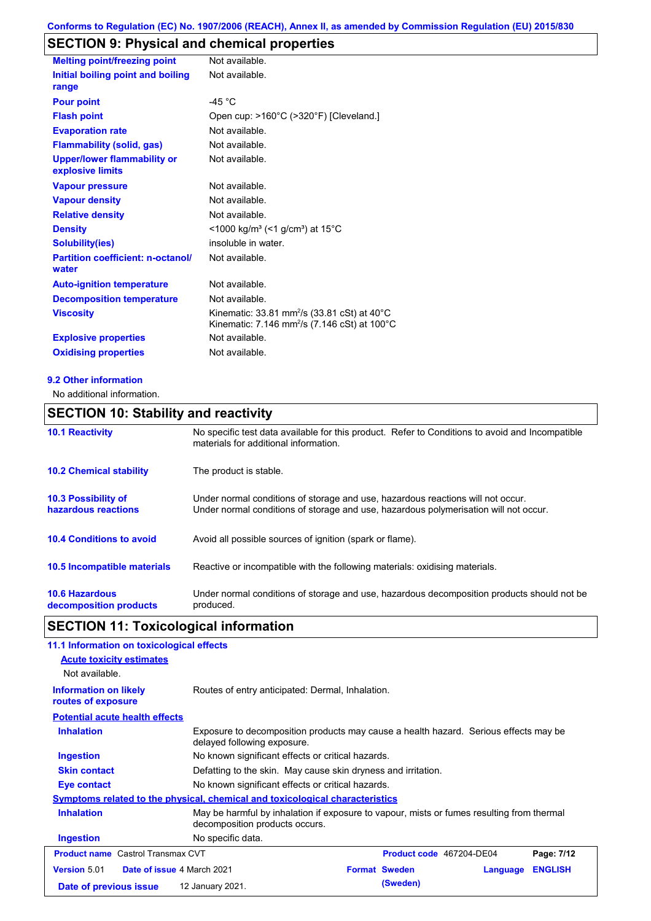# **SECTION 9: Physical and chemical properties**

| <b>Melting point/freezing point</b>                    | Not available.                                                                                                                |
|--------------------------------------------------------|-------------------------------------------------------------------------------------------------------------------------------|
| Initial boiling point and boiling<br>range             | Not available.                                                                                                                |
| <b>Pour point</b>                                      | -45 °C                                                                                                                        |
| <b>Flash point</b>                                     | Open cup: >160°C (>320°F) [Cleveland.]                                                                                        |
| <b>Evaporation rate</b>                                | Not available.                                                                                                                |
| <b>Flammability (solid, gas)</b>                       | Not available.                                                                                                                |
| <b>Upper/lower flammability or</b><br>explosive limits | Not available.                                                                                                                |
| <b>Vapour pressure</b>                                 | Not available.                                                                                                                |
| <b>Vapour density</b>                                  | Not available.                                                                                                                |
| <b>Relative density</b>                                | Not available.                                                                                                                |
| <b>Density</b>                                         | $\leq$ 1000 kg/m <sup>3</sup> (<1 g/cm <sup>3</sup> ) at 15 <sup>°</sup> C                                                    |
| <b>Solubility(ies)</b>                                 | insoluble in water.                                                                                                           |
| <b>Partition coefficient: n-octanol/</b><br>water      | Not available.                                                                                                                |
| <b>Auto-ignition temperature</b>                       | Not available.                                                                                                                |
| <b>Decomposition temperature</b>                       | Not available.                                                                                                                |
| <b>Viscosity</b>                                       | Kinematic: 33.81 mm <sup>2</sup> /s (33.81 cSt) at $40^{\circ}$ C<br>Kinematic: 7.146 mm <sup>2</sup> /s (7.146 cSt) at 100°C |
| <b>Explosive properties</b>                            | Not available.                                                                                                                |
| <b>Oxidising properties</b>                            | Not available.                                                                                                                |

#### **9.2 Other information**

No additional information.

# **SECTION 10: Stability and reactivity**

| <b>10.1 Reactivity</b>                            | No specific test data available for this product. Refer to Conditions to avoid and Incompatible<br>materials for additional information.                                |
|---------------------------------------------------|-------------------------------------------------------------------------------------------------------------------------------------------------------------------------|
| <b>10.2 Chemical stability</b>                    | The product is stable.                                                                                                                                                  |
| <b>10.3 Possibility of</b><br>hazardous reactions | Under normal conditions of storage and use, hazardous reactions will not occur.<br>Under normal conditions of storage and use, hazardous polymerisation will not occur. |
| <b>10.4 Conditions to avoid</b>                   | Avoid all possible sources of ignition (spark or flame).                                                                                                                |
| <b>10.5 Incompatible materials</b>                | Reactive or incompatible with the following materials: oxidising materials.                                                                                             |
| <b>10.6 Hazardous</b><br>decomposition products   | Under normal conditions of storage and use, hazardous decomposition products should not be<br>produced.                                                                 |

# **SECTION 11: Toxicological information**

| 11.1 Information on toxicological effects                |                                                                                                                             |  |                          |          |                |
|----------------------------------------------------------|-----------------------------------------------------------------------------------------------------------------------------|--|--------------------------|----------|----------------|
| <b>Acute toxicity estimates</b>                          |                                                                                                                             |  |                          |          |                |
| Not available.                                           |                                                                                                                             |  |                          |          |                |
| <b>Information on likely</b><br>routes of exposure       | Routes of entry anticipated: Dermal, Inhalation.                                                                            |  |                          |          |                |
| <b>Potential acute health effects</b>                    |                                                                                                                             |  |                          |          |                |
| <b>Inhalation</b>                                        | Exposure to decomposition products may cause a health hazard. Serious effects may be<br>delayed following exposure.         |  |                          |          |                |
| Ingestion                                                | No known significant effects or critical hazards.                                                                           |  |                          |          |                |
| <b>Skin contact</b>                                      | Defatting to the skin. May cause skin dryness and irritation.                                                               |  |                          |          |                |
| Eye contact                                              | No known significant effects or critical hazards.                                                                           |  |                          |          |                |
|                                                          | Symptoms related to the physical, chemical and toxicological characteristics                                                |  |                          |          |                |
| <b>Inhalation</b>                                        | May be harmful by inhalation if exposure to vapour, mists or fumes resulting from thermal<br>decomposition products occurs. |  |                          |          |                |
| <b>Ingestion</b>                                         | No specific data.                                                                                                           |  |                          |          |                |
| <b>Product name</b> Castrol Transmax CVT                 |                                                                                                                             |  | Product code 467204-DE04 |          | Page: 7/12     |
| <b>Version 5.01</b><br><b>Date of issue 4 March 2021</b> |                                                                                                                             |  | <b>Format Sweden</b>     | Language | <b>ENGLISH</b> |
| Date of previous issue                                   | 12 January 2021.                                                                                                            |  | (Sweden)                 |          |                |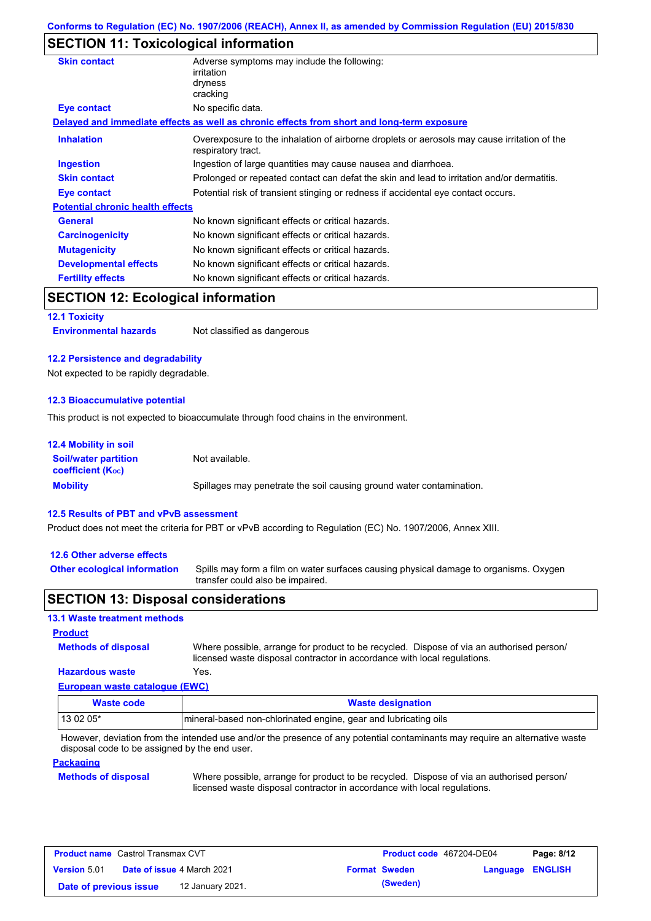## **SECTION 11: Toxicological information**

| <b>Skin contact</b>                       | Adverse symptoms may include the following:<br>irritation<br>dryness<br>cracking                                  |
|-------------------------------------------|-------------------------------------------------------------------------------------------------------------------|
| <b>Eye contact</b>                        | No specific data.                                                                                                 |
|                                           | Delayed and immediate effects as well as chronic effects from short and long-term exposure                        |
| <b>Inhalation</b>                         | Overexposure to the inhalation of airborne droplets or aerosols may cause irritation of the<br>respiratory tract. |
| <b>Ingestion</b>                          | Ingestion of large quantities may cause nausea and diarrhoea.                                                     |
| <b>Skin contact</b>                       | Prolonged or repeated contact can defat the skin and lead to irritation and/or dermatitis.                        |
| Eye contact                               | Potential risk of transient stinging or redness if accidental eye contact occurs.                                 |
| <b>Potential chronic health effects</b>   |                                                                                                                   |
| General                                   | No known significant effects or critical hazards.                                                                 |
| <b>Carcinogenicity</b>                    | No known significant effects or critical hazards.                                                                 |
| <b>Mutagenicity</b>                       | No known significant effects or critical hazards.                                                                 |
| <b>Developmental effects</b>              | No known significant effects or critical hazards.                                                                 |
| <b>Fertility effects</b>                  | No known significant effects or critical hazards.                                                                 |
| <b>SECTION 12: Ecological information</b> |                                                                                                                   |
| <b>12.1 Toxicity</b>                      |                                                                                                                   |
| <b>Environmental hazards</b>              | Not classified as dangerous                                                                                       |

#### **12.2 Persistence and degradability**

Not expected to be rapidly degradable.

#### **12.3 Bioaccumulative potential**

This product is not expected to bioaccumulate through food chains in the environment.

| <b>12.4 Mobility in soil</b>                                  |                                                                      |
|---------------------------------------------------------------|----------------------------------------------------------------------|
| <b>Soil/water partition</b><br>coefficient (K <sub>oc</sub> ) | Not available.                                                       |
| <b>Mobility</b>                                               | Spillages may penetrate the soil causing ground water contamination. |

#### **12.5 Results of PBT and vPvB assessment**

Product does not meet the criteria for PBT or vPvB according to Regulation (EC) No. 1907/2006, Annex XIII.

#### **12.6 Other adverse effects**

Spills may form a film on water surfaces causing physical damage to organisms. Oxygen transfer could also be impaired. **Other ecological information**

## **SECTION 13: Disposal considerations**

#### **13.1 Waste treatment methods**

# **Methods of disposal Product**

Where possible, arrange for product to be recycled. Dispose of via an authorised person/ licensed waste disposal contractor in accordance with local regulations.

#### **European waste catalogue (EWC) Hazardous waste** Yes.

| Waste code | <b>Waste designation</b>                                         |
|------------|------------------------------------------------------------------|
| 13 02 05*  | Imineral-based non-chlorinated engine, gear and lubricating oils |

However, deviation from the intended use and/or the presence of any potential contaminants may require an alternative waste disposal code to be assigned by the end user.

#### **Packaging**

#### **Methods of disposal**

Where possible, arrange for product to be recycled. Dispose of via an authorised person/ licensed waste disposal contractor in accordance with local regulations.

| <b>Product name</b> Castrol Transmax CVT |  |                                   | Product code 467204-DE04 |                      | Page: 8/12              |  |
|------------------------------------------|--|-----------------------------------|--------------------------|----------------------|-------------------------|--|
| Version 5.01                             |  | <b>Date of issue 4 March 2021</b> |                          | <b>Format Sweden</b> | <b>Language ENGLISH</b> |  |
| Date of previous issue                   |  | 12 January 2021.                  |                          | (Sweden)             |                         |  |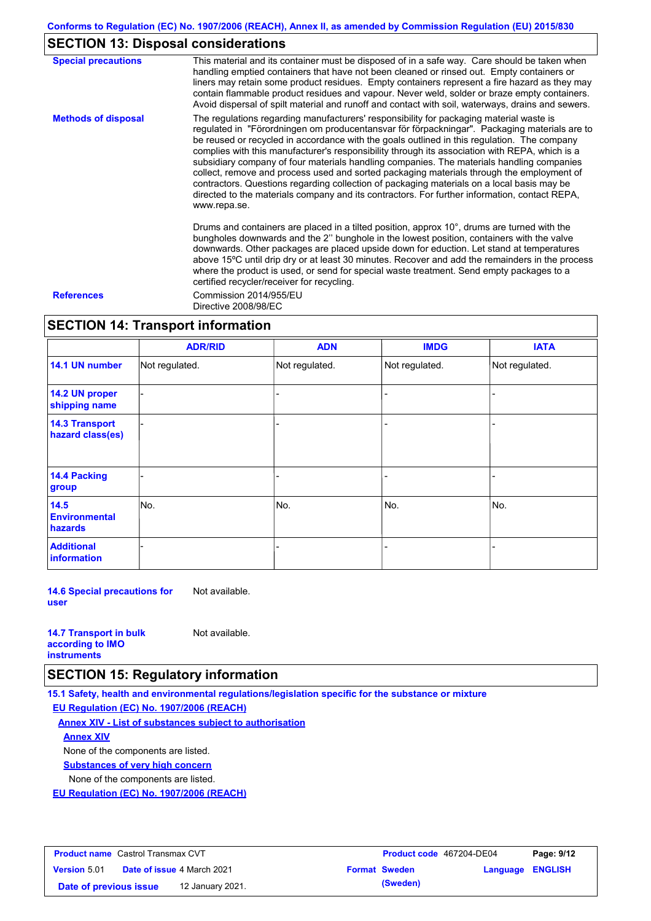# **SECTION 13: Disposal considerations**

| <b>Special precautions</b> | This material and its container must be disposed of in a safe way. Care should be taken when<br>handling emptied containers that have not been cleaned or rinsed out. Empty containers or<br>liners may retain some product residues. Empty containers represent a fire hazard as they may<br>contain flammable product residues and vapour. Never weld, solder or braze empty containers.<br>Avoid dispersal of spilt material and runoff and contact with soil, waterways, drains and sewers.                                                                                                                                                                                                                                                                                                   |
|----------------------------|---------------------------------------------------------------------------------------------------------------------------------------------------------------------------------------------------------------------------------------------------------------------------------------------------------------------------------------------------------------------------------------------------------------------------------------------------------------------------------------------------------------------------------------------------------------------------------------------------------------------------------------------------------------------------------------------------------------------------------------------------------------------------------------------------|
| <b>Methods of disposal</b> | The regulations regarding manufacturers' responsibility for packaging material waste is<br>regulated in "Förordningen om producentansvar för förpackningar". Packaging materials are to<br>be reused or recycled in accordance with the goals outlined in this regulation. The company<br>complies with this manufacturer's responsibility through its association with REPA, which is a<br>subsidiary company of four materials handling companies. The materials handling companies<br>collect, remove and process used and sorted packaging materials through the employment of<br>contractors. Questions regarding collection of packaging materials on a local basis may be<br>directed to the materials company and its contractors. For further information, contact REPA,<br>www.repa.se. |
|                            | Drums and containers are placed in a tilted position, approx 10°, drums are turned with the<br>bungholes downwards and the 2" bunghole in the lowest position, containers with the valve<br>downwards. Other packages are placed upside down for eduction. Let stand at temperatures<br>above 15°C until drip dry or at least 30 minutes. Recover and add the remainders in the process<br>where the product is used, or send for special waste treatment. Send empty packages to a<br>certified recycler/receiver for recycling.                                                                                                                                                                                                                                                                 |
| <b>References</b>          | Commission 2014/955/EU<br>Directive 2008/98/EC                                                                                                                                                                                                                                                                                                                                                                                                                                                                                                                                                                                                                                                                                                                                                    |

# **SECTION 14: Transport information**

|                                           | <b>ADR/RID</b> | <b>ADN</b>     | <b>IMDG</b>    | <b>IATA</b>    |
|-------------------------------------------|----------------|----------------|----------------|----------------|
| 14.1 UN number                            | Not regulated. | Not regulated. | Not regulated. | Not regulated. |
| 14.2 UN proper<br>shipping name           |                |                |                |                |
| <b>14.3 Transport</b><br>hazard class(es) |                |                |                |                |
| 14.4 Packing<br>group                     |                |                |                |                |
| 14.5<br><b>Environmental</b><br>hazards   | No.            | No.            | No.            | No.            |
| <b>Additional</b><br><b>information</b>   |                |                |                |                |

**14.6 Special precautions for user** Not available.

| <b>14.7 Transport in bulk</b> | Not available. |
|-------------------------------|----------------|
| according to <b>IMO</b>       |                |
| <b>instruments</b>            |                |

## **SECTION 15: Regulatory information**

**15.1 Safety, health and environmental regulations/legislation specific for the substance or mixture**

#### **EU Regulation (EC) No. 1907/2006 (REACH)**

**Annex XIV - List of substances subject to authorisation**

#### **Annex XIV**

None of the components are listed.

**Substances of very high concern**

None of the components are listed.

**EU Regulation (EC) No. 1907/2006 (REACH)**

| <b>Product name</b> Castrol Transmax CVT |                                   |                  | Product code 467204-DE04 |                      | Page: 9/12       |  |
|------------------------------------------|-----------------------------------|------------------|--------------------------|----------------------|------------------|--|
| <b>Version 5.01</b>                      | <b>Date of issue 4 March 2021</b> |                  |                          | <b>Format Sweden</b> | Language ENGLISH |  |
| Date of previous issue                   |                                   | 12 January 2021. |                          | (Sweden)             |                  |  |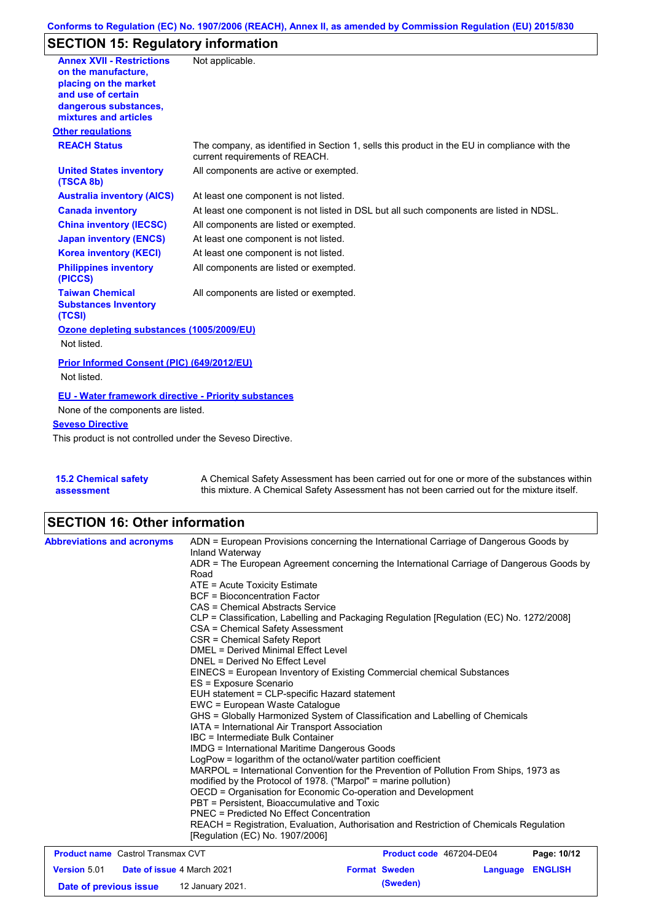## **Conforms to Regulation (EC) No. 1907/2006 (REACH), Annex II, as amended by Commission Regulation (EU) 2015/830**

# **SECTION 15: Regulatory information**

| <b>Annex XVII - Restrictions</b>                            | Not applicable.                                                                                                                |
|-------------------------------------------------------------|--------------------------------------------------------------------------------------------------------------------------------|
| on the manufacture.                                         |                                                                                                                                |
| placing on the market<br>and use of certain                 |                                                                                                                                |
| dangerous substances,                                       |                                                                                                                                |
| mixtures and articles                                       |                                                                                                                                |
| <b>Other regulations</b>                                    |                                                                                                                                |
| <b>REACH Status</b>                                         | The company, as identified in Section 1, sells this product in the EU in compliance with the<br>current requirements of REACH. |
| <b>United States inventory</b><br>(TSCA 8b)                 | All components are active or exempted.                                                                                         |
| <b>Australia inventory (AICS)</b>                           | At least one component is not listed.                                                                                          |
| <b>Canada inventory</b>                                     | At least one component is not listed in DSL but all such components are listed in NDSL.                                        |
| <b>China inventory (IECSC)</b>                              | All components are listed or exempted.                                                                                         |
| <b>Japan inventory (ENCS)</b>                               | At least one component is not listed.                                                                                          |
| <b>Korea inventory (KECI)</b>                               | At least one component is not listed.                                                                                          |
| <b>Philippines inventory</b><br>(PICCS)                     | All components are listed or exempted.                                                                                         |
| <b>Taiwan Chemical</b>                                      | All components are listed or exempted.                                                                                         |
| <b>Substances Inventory</b><br>(TCSI)                       |                                                                                                                                |
| Ozone depleting substances (1005/2009/EU)                   |                                                                                                                                |
| Not listed.                                                 |                                                                                                                                |
| Prior Informed Consent (PIC) (649/2012/EU)                  |                                                                                                                                |
| Not listed.                                                 |                                                                                                                                |
| <b>EU - Water framework directive - Priority substances</b> |                                                                                                                                |
| None of the components are listed.                          |                                                                                                                                |
| <b>Seveso Directive</b>                                     |                                                                                                                                |
| This product is not controlled under the Seveso Directive.  |                                                                                                                                |
|                                                             |                                                                                                                                |
|                                                             |                                                                                                                                |
| 4 P. A. Alexandro J. Andrews                                | A. Okansisal Osfak: Association has been consistent for one<br>والمتمتم ويتملح والرواد المتمالة الألمان                        |

| <b>15.2 Chemical safety</b> | A Chemical Safety Assessment has been carried out for one or more of the substances within  |
|-----------------------------|---------------------------------------------------------------------------------------------|
| assessment                  | this mixture. A Chemical Safety Assessment has not been carried out for the mixture itself. |

# **SECTION 16: Other information**

| <b>Abbreviations and acronyms</b>                 | ADN = European Provisions concerning the International Carriage of Dangerous Goods by<br>Inland Waterway                                                                                                |                          |          |                |  |  |
|---------------------------------------------------|---------------------------------------------------------------------------------------------------------------------------------------------------------------------------------------------------------|--------------------------|----------|----------------|--|--|
|                                                   | ADR = The European Agreement concerning the International Carriage of Dangerous Goods by<br>Road                                                                                                        |                          |          |                |  |  |
|                                                   | ATE = Acute Toxicity Estimate                                                                                                                                                                           |                          |          |                |  |  |
|                                                   | <b>BCF</b> = Bioconcentration Factor                                                                                                                                                                    |                          |          |                |  |  |
|                                                   | CAS = Chemical Abstracts Service                                                                                                                                                                        |                          |          |                |  |  |
|                                                   | CLP = Classification, Labelling and Packaging Regulation [Regulation (EC) No. 1272/2008]                                                                                                                |                          |          |                |  |  |
|                                                   | CSA = Chemical Safety Assessment                                                                                                                                                                        |                          |          |                |  |  |
|                                                   | CSR = Chemical Safety Report                                                                                                                                                                            |                          |          |                |  |  |
|                                                   | DMEL = Derived Minimal Effect Level                                                                                                                                                                     |                          |          |                |  |  |
|                                                   | DNEL = Derived No Effect Level                                                                                                                                                                          |                          |          |                |  |  |
|                                                   | EINECS = European Inventory of Existing Commercial chemical Substances                                                                                                                                  |                          |          |                |  |  |
|                                                   | ES = Exposure Scenario                                                                                                                                                                                  |                          |          |                |  |  |
|                                                   | EUH statement = CLP-specific Hazard statement                                                                                                                                                           |                          |          |                |  |  |
|                                                   | EWC = European Waste Catalogue                                                                                                                                                                          |                          |          |                |  |  |
|                                                   | GHS = Globally Harmonized System of Classification and Labelling of Chemicals                                                                                                                           |                          |          |                |  |  |
|                                                   | IATA = International Air Transport Association                                                                                                                                                          |                          |          |                |  |  |
|                                                   | IBC = Intermediate Bulk Container                                                                                                                                                                       |                          |          |                |  |  |
|                                                   | IMDG = International Maritime Dangerous Goods<br>LogPow = logarithm of the octanol/water partition coefficient<br>MARPOL = International Convention for the Prevention of Pollution From Ships, 1973 as |                          |          |                |  |  |
|                                                   |                                                                                                                                                                                                         |                          |          |                |  |  |
|                                                   | modified by the Protocol of 1978. ("Marpol" = marine pollution)                                                                                                                                         |                          |          |                |  |  |
|                                                   | OECD = Organisation for Economic Co-operation and Development                                                                                                                                           |                          |          |                |  |  |
|                                                   | PBT = Persistent. Bioaccumulative and Toxic                                                                                                                                                             |                          |          |                |  |  |
|                                                   | PNEC = Predicted No Effect Concentration                                                                                                                                                                |                          |          |                |  |  |
|                                                   | REACH = Registration, Evaluation, Authorisation and Restriction of Chemicals Regulation                                                                                                                 |                          |          |                |  |  |
|                                                   | [Regulation (EC) No. 1907/2006]                                                                                                                                                                         |                          |          |                |  |  |
| <b>Product name</b> Castrol Transmax CVT          |                                                                                                                                                                                                         | Product code 467204-DE04 |          | Page: 10/12    |  |  |
| Date of issue 4 March 2021<br><b>Version 5.01</b> |                                                                                                                                                                                                         | <b>Format Sweden</b>     | Language | <b>ENGLISH</b> |  |  |

**Date of previous issue (Sweden)** 12 January 2021.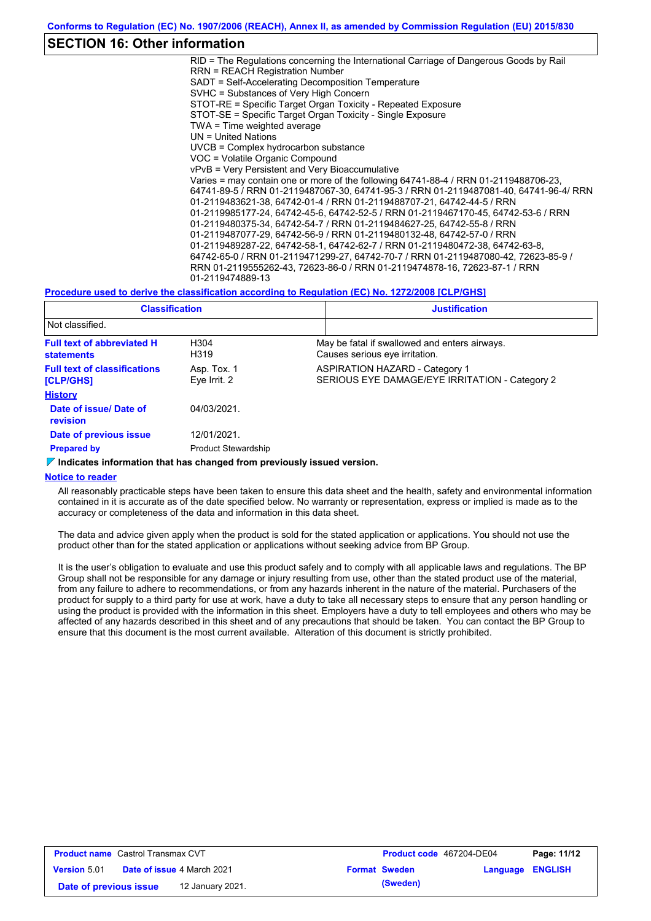## **SECTION 16: Other information**

RID = The Regulations concerning the International Carriage of Dangerous Goods by Rail RRN = REACH Registration Number SADT = Self-Accelerating Decomposition Temperature SVHC = Substances of Very High Concern STOT-RE = Specific Target Organ Toxicity - Repeated Exposure STOT-SE = Specific Target Organ Toxicity - Single Exposure TWA = Time weighted average UN = United Nations UVCB = Complex hydrocarbon substance VOC = Volatile Organic Compound vPvB = Very Persistent and Very Bioaccumulative Varies = may contain one or more of the following 64741-88-4 / RRN 01-2119488706-23, 64741-89-5 / RRN 01-2119487067-30, 64741-95-3 / RRN 01-2119487081-40, 64741-96-4/ RRN 01-2119483621-38, 64742-01-4 / RRN 01-2119488707-21, 64742-44-5 / RRN 01-2119985177-24, 64742-45-6, 64742-52-5 / RRN 01-2119467170-45, 64742-53-6 / RRN 01-2119480375-34, 64742-54-7 / RRN 01-2119484627-25, 64742-55-8 / RRN 01-2119487077-29, 64742-56-9 / RRN 01-2119480132-48, 64742-57-0 / RRN 01-2119489287-22, 64742-58-1, 64742-62-7 / RRN 01-2119480472-38, 64742-63-8, 64742-65-0 / RRN 01-2119471299-27, 64742-70-7 / RRN 01-2119487080-42, 72623-85-9 / RRN 01-2119555262-43, 72623-86-0 / RRN 01-2119474878-16, 72623-87-1 / RRN 01-2119474889-13

#### **Procedure used to derive the classification according to Regulation (EC) No. 1272/2008 [CLP/GHS]**

| <b>Classification</b>                                  |                             | <b>Justification</b>                                                                    |  |  |
|--------------------------------------------------------|-----------------------------|-----------------------------------------------------------------------------------------|--|--|
| Not classified.                                        |                             |                                                                                         |  |  |
| <b>Full text of abbreviated H</b><br><b>statements</b> | H <sub>304</sub><br>H319    | May be fatal if swallowed and enters airways.<br>Causes serious eye irritation.         |  |  |
| <b>Full text of classifications</b><br>[CLP/GHS]       | Asp. Tox. 1<br>Eye Irrit. 2 | <b>ASPIRATION HAZARD - Category 1</b><br>SERIOUS EYE DAMAGE/EYE IRRITATION - Category 2 |  |  |
| <b>History</b>                                         |                             |                                                                                         |  |  |
| Date of issue/ Date of<br>revision                     | 04/03/2021                  |                                                                                         |  |  |
| Date of previous issue                                 | 12/01/2021.                 |                                                                                         |  |  |
| <b>Prepared by</b>                                     | <b>Product Stewardship</b>  |                                                                                         |  |  |

#### **Indicates information that has changed from previously issued version.**

#### **Notice to reader**

All reasonably practicable steps have been taken to ensure this data sheet and the health, safety and environmental information contained in it is accurate as of the date specified below. No warranty or representation, express or implied is made as to the accuracy or completeness of the data and information in this data sheet.

The data and advice given apply when the product is sold for the stated application or applications. You should not use the product other than for the stated application or applications without seeking advice from BP Group.

It is the user's obligation to evaluate and use this product safely and to comply with all applicable laws and regulations. The BP Group shall not be responsible for any damage or injury resulting from use, other than the stated product use of the material, from any failure to adhere to recommendations, or from any hazards inherent in the nature of the material. Purchasers of the product for supply to a third party for use at work, have a duty to take all necessary steps to ensure that any person handling or using the product is provided with the information in this sheet. Employers have a duty to tell employees and others who may be affected of any hazards described in this sheet and of any precautions that should be taken. You can contact the BP Group to ensure that this document is the most current available. Alteration of this document is strictly prohibited.

| <b>Product name</b> Castrol Transmax CVT |                                   |                  | <b>Product code</b> 467204-DE04 |                      | Page: 11/12             |  |
|------------------------------------------|-----------------------------------|------------------|---------------------------------|----------------------|-------------------------|--|
| <b>Version 5.01</b>                      | <b>Date of issue 4 March 2021</b> |                  |                                 | <b>Format Sweden</b> | <b>Language ENGLISH</b> |  |
| Date of previous issue                   |                                   | 12 January 2021. |                                 | (Sweden)             |                         |  |